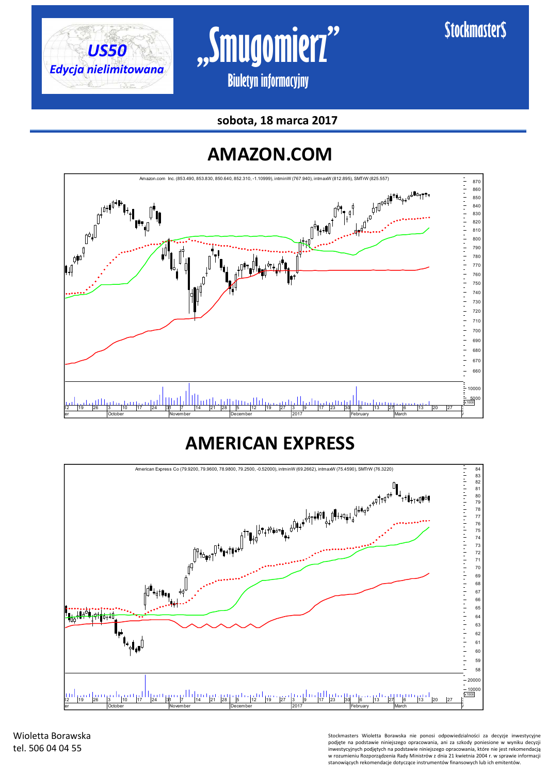





### **AMAZON.COM**



### **AMERICAN EXPRESS**



Wioletta Borawska tel. 506 04 04 55

Stockmasters Wioletta Borawska nie ponosi odpowiedzialności za decyzje inwestycyjne podjęte na podstawie niniejszego opracowania, ani za szkody poniesione w wyniku decyzji inwestycyjnych podjętych na podstawie niniejszego opracowania, które nie jest rekomendacją w rozumieniu Rozporządzenia Rady Ministrów z dnia 21 kwietnia 2004 r. w sprawie informacji stanowiących rekomendacje dotyczące instrumentów finansowych lub ich emitentów.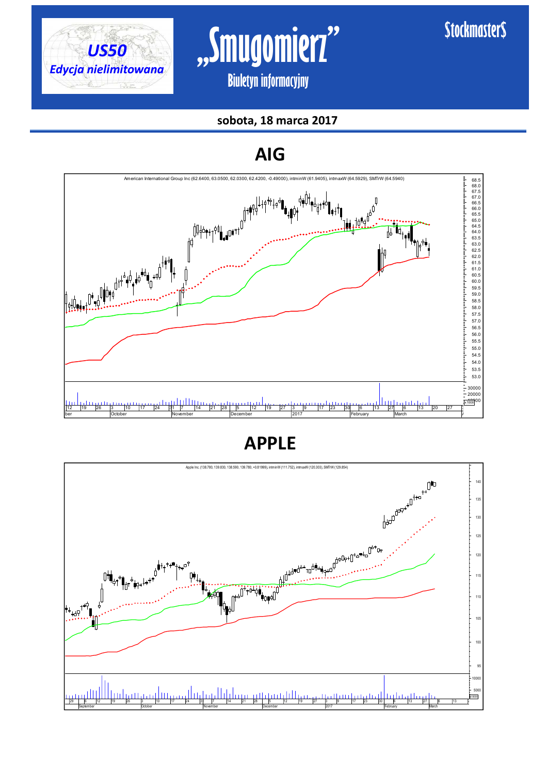



#### **sobota, 18 marca 2017**



**APPLE**

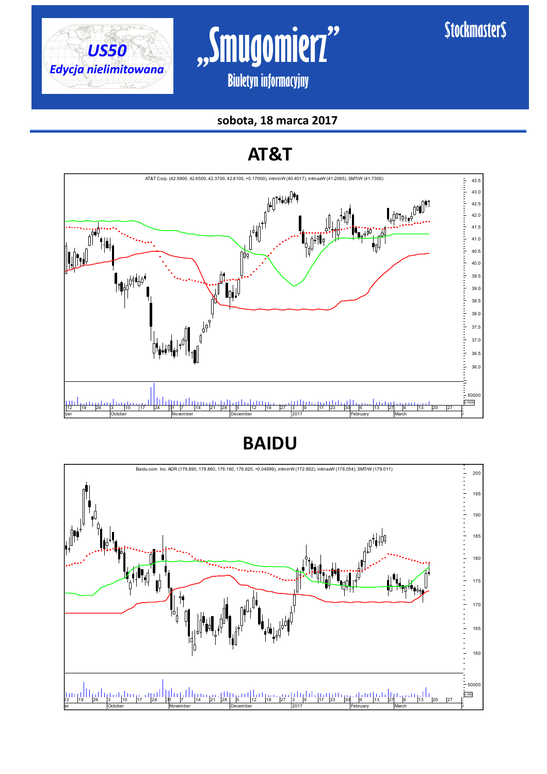

# **"Smugomierz" Biuletyn informacyjny**

### **\$tockmaster\$**

#### **sobota, 18 marca 2017**

### **AT&T**



### **BAIDU**

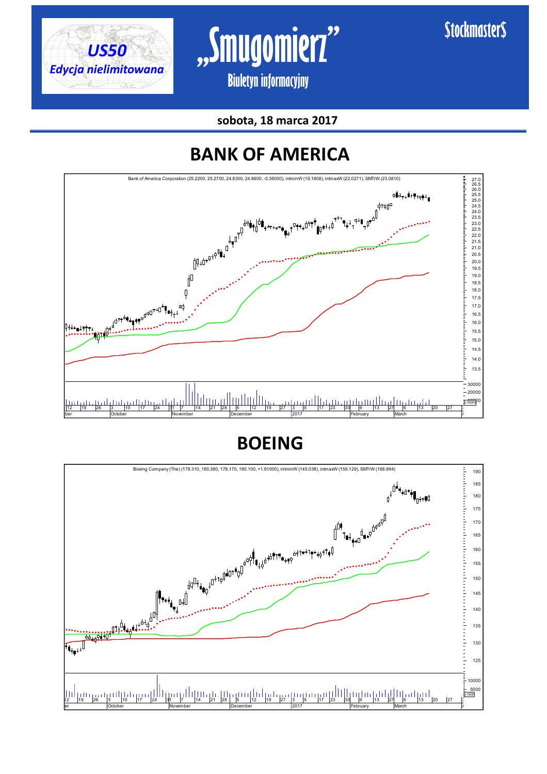







**BOEING**

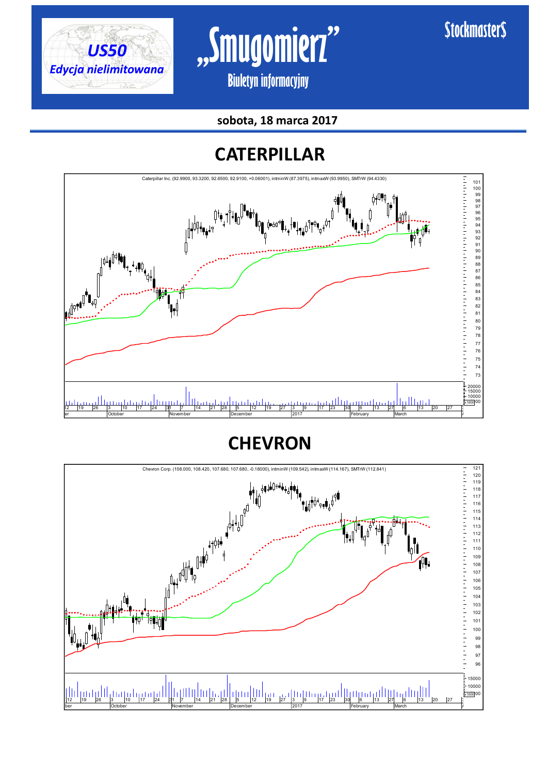



**sobota, 18 marca 2017** 

### **CATERPILLAR**



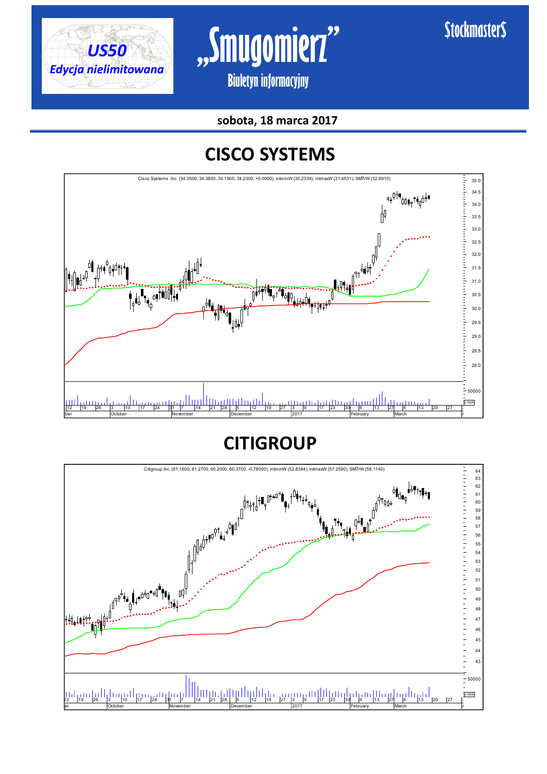



**sobota, 18 marca 2017** 

### **CISCO SYSTEMS**



**CITIGROUP**

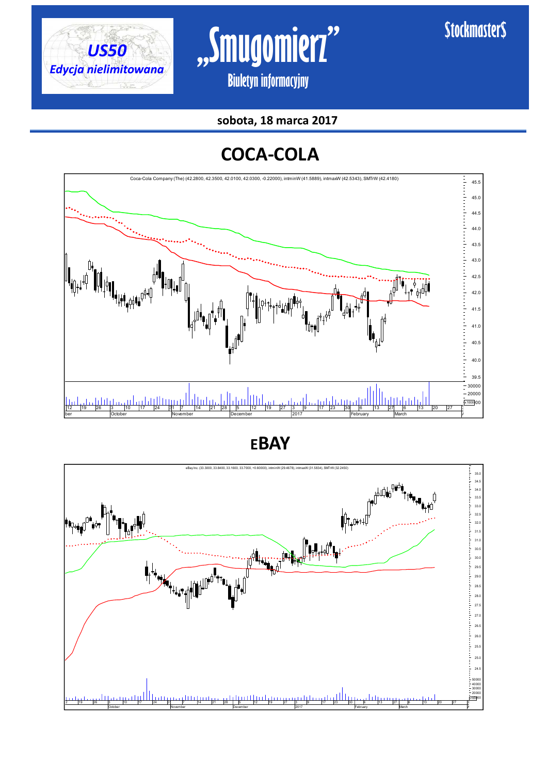



**sobota, 18 marca 2017** 

### **COCA-COLA**



**EBAY**

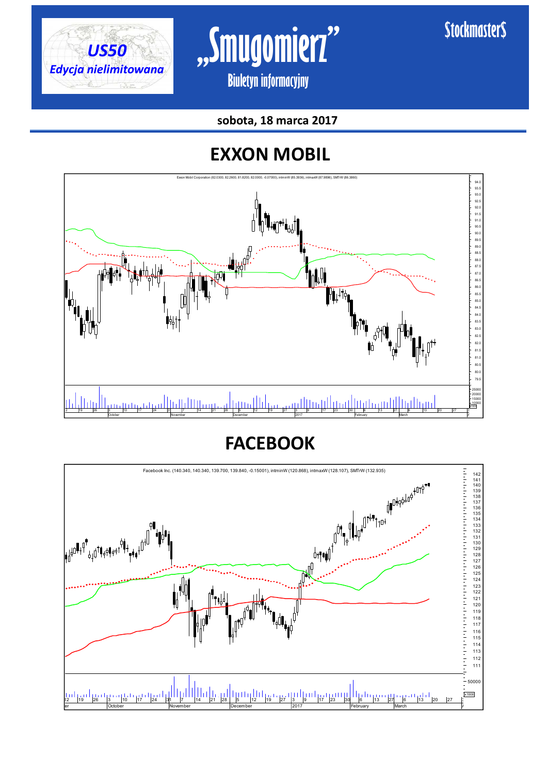



**sobota, 18 marca 2017** 

### **EXXON MOBIL**



**FACEBOOK**

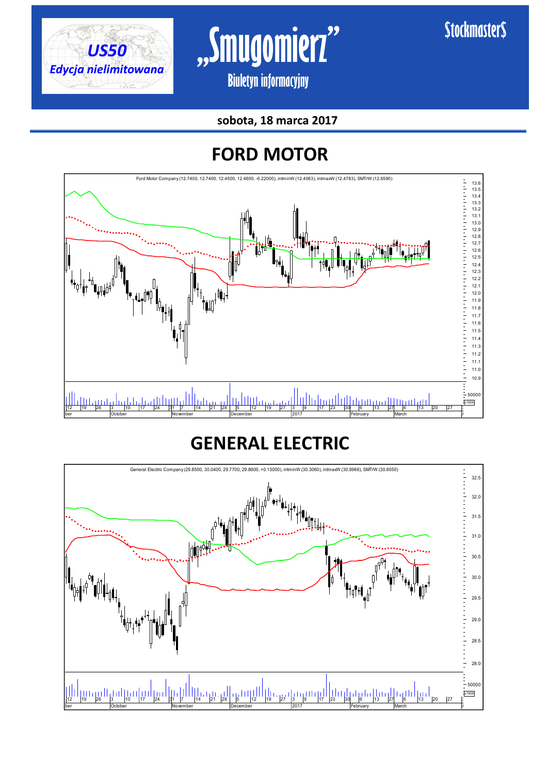



**sobota, 18 marca 2017** 

### **FORD MOTOR**



### **GENERAL ELECTRIC**

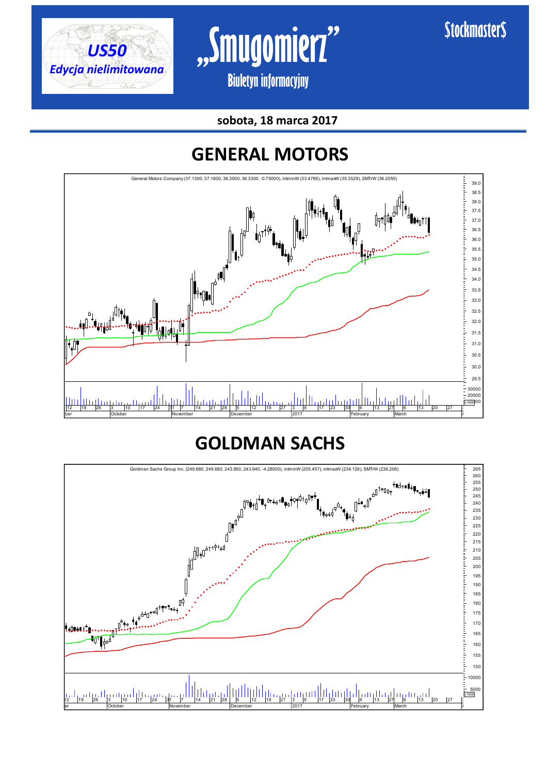



**sobota, 18 marca 2017** 

### **GENERAL MOTORS**



### **GOLDMAN SACHS**

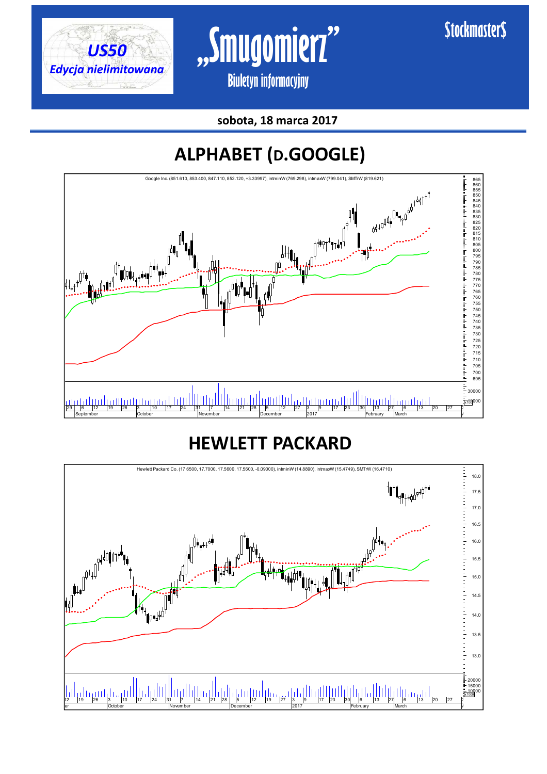





## **ALPHABET (D.GOOGLE)**



### **HEWLETT PACKARD**

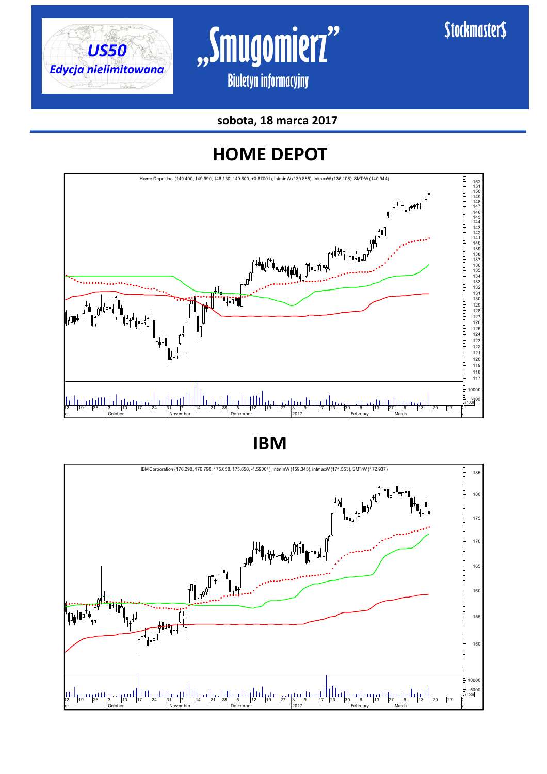



**sobota, 18 marca 2017** 

### **HOME DEPOT**



**IBM**

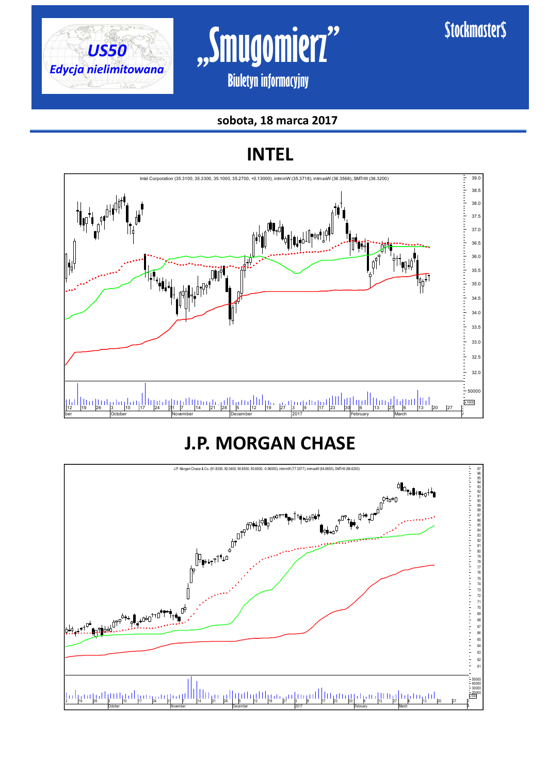



#### **sobota, 18 marca 2017**

**INTEL**



### **J.P. MORGAN CHASE**

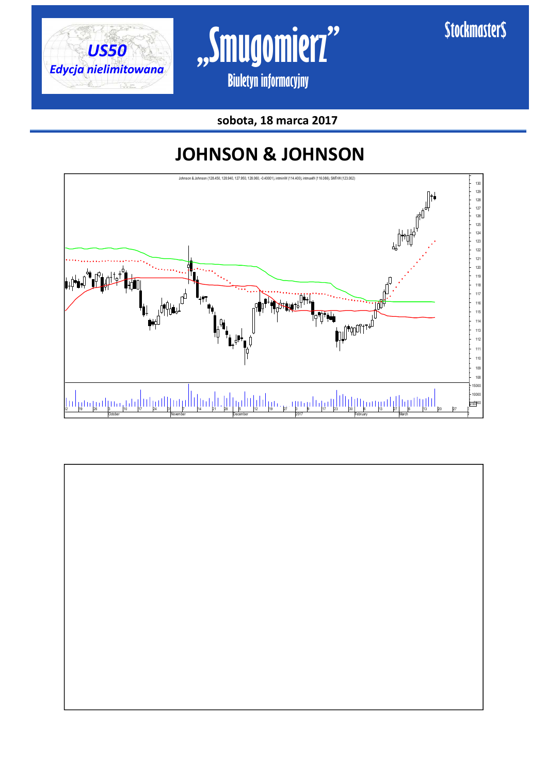



**\$tockmaster\$** 

### **JOHNSON & JOHNSON**



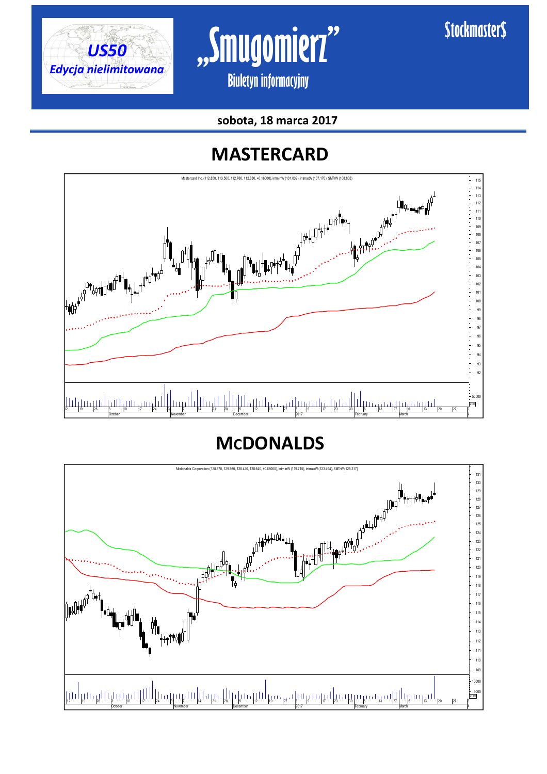



**sobota, 18 marca 2017** 

### **MASTERCARD**



### **MCDONALDS**

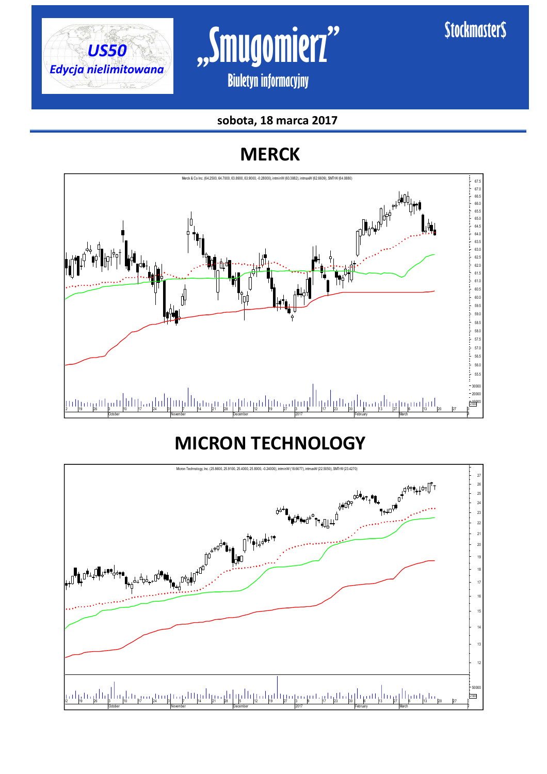



#### **sobota, 18 marca 2017**

### **MERCK**



### **MICRON TECHNOLOGY**

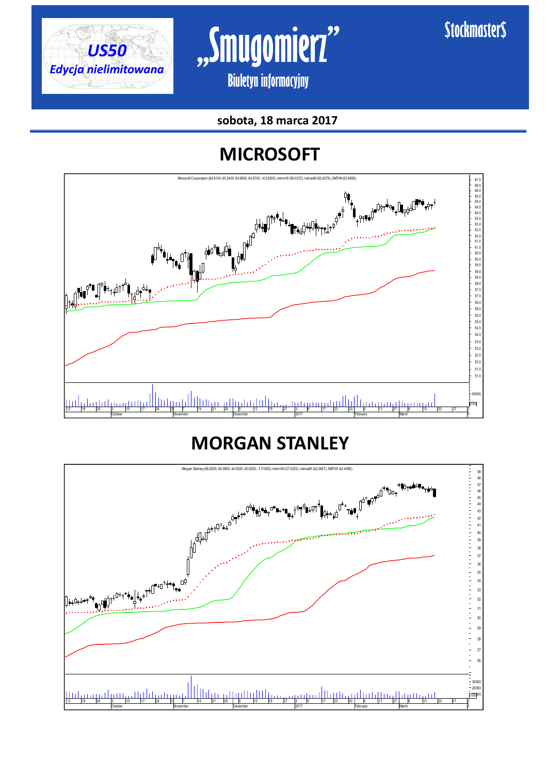



#### **sobota, 18 marca 2017**

### **MICROSOFT**



### **MORGAN STANLEY**

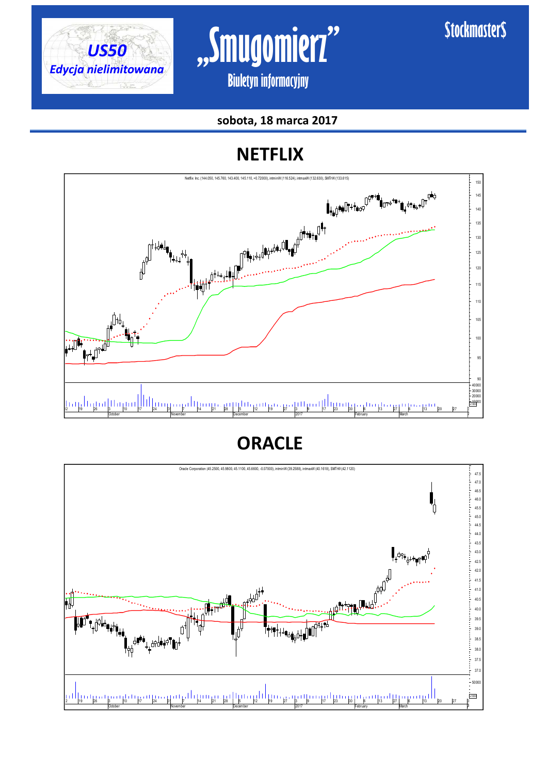



#### **sobota, 18 marca 2017**

### **NETFLIX**



### **ORACLE**

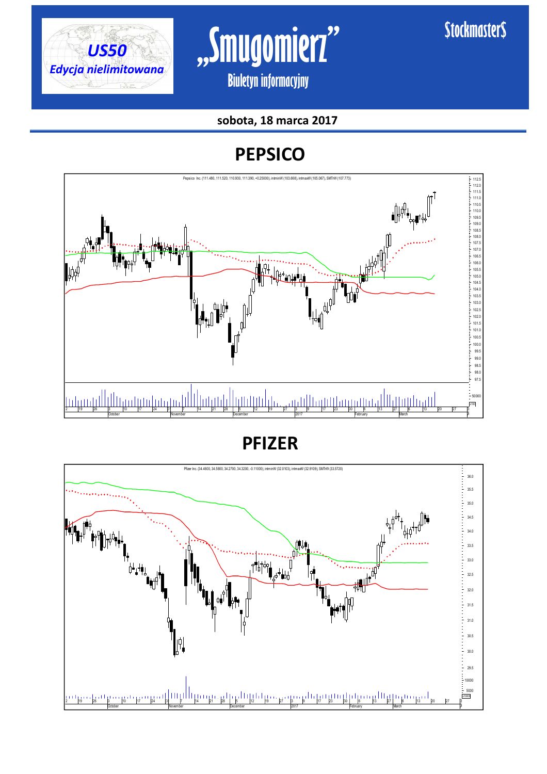



#### **sobota, 18 marca 2017**

### **PEPSICO**



**PFIZER**

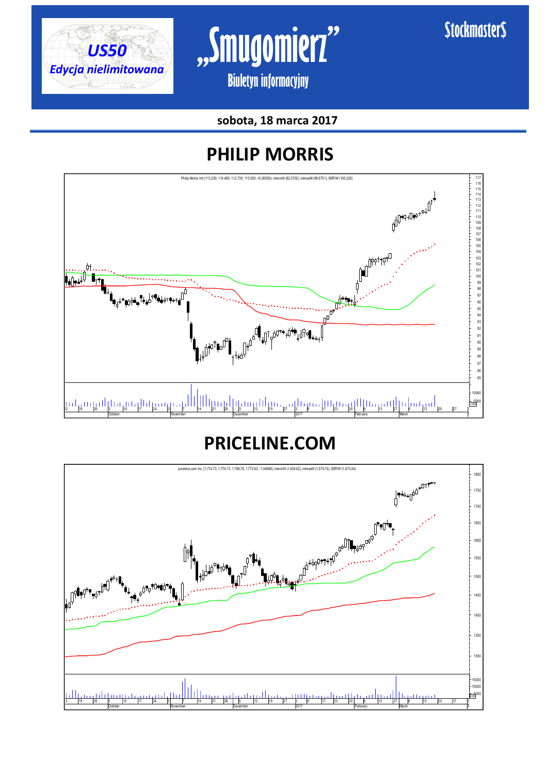



**sobota, 18 marca 2017** 

### **PHILIP MORRIS**



### **PRICELINE.COM**

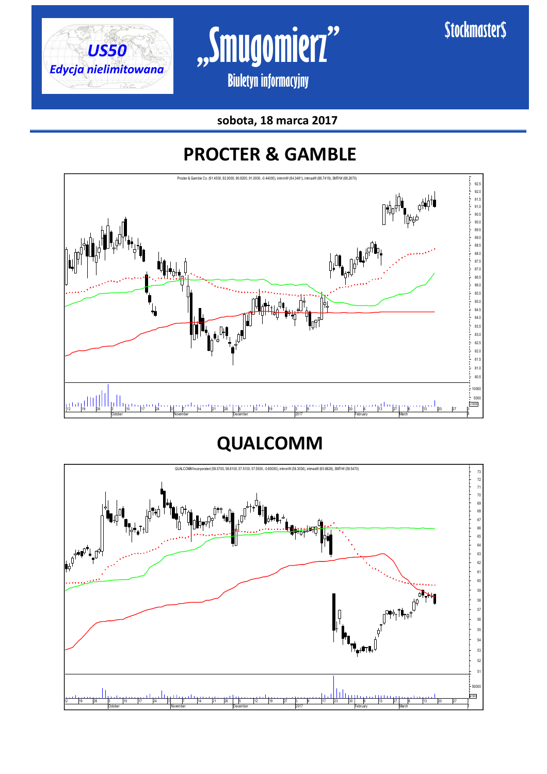



**sobota, 18 marca 2017** 

### **PROCTER & GAMBLE**



### **QUALCOMM**

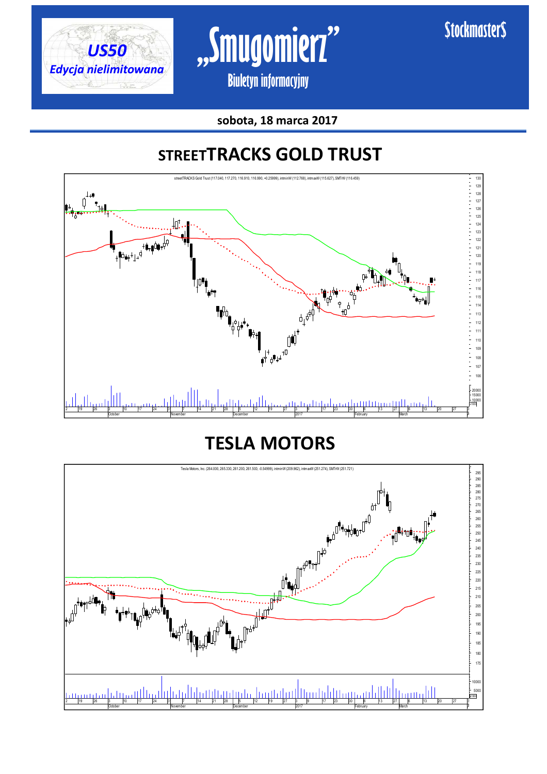





### **STREETTRACKS GOLD TRUST**



### **TESLA MOTORS**

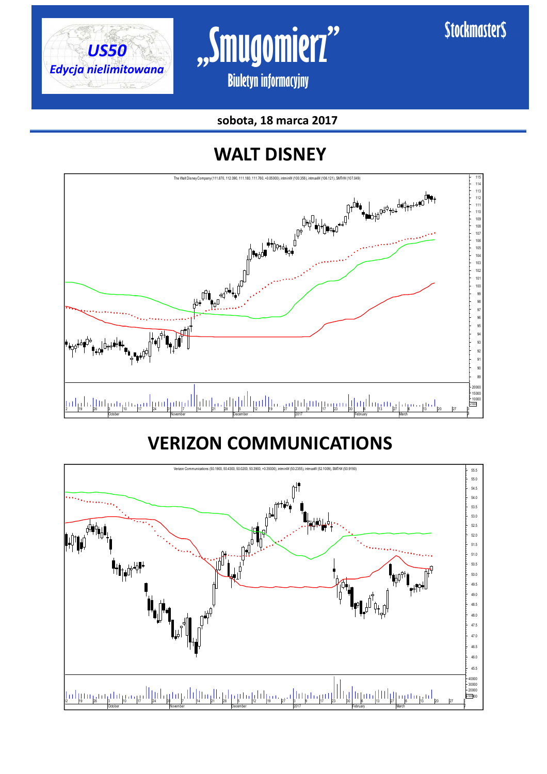



#### **sobota, 18 marca 2017**

### **WALT DISNEY**



### **VERIZON COMMUNICATIONS**

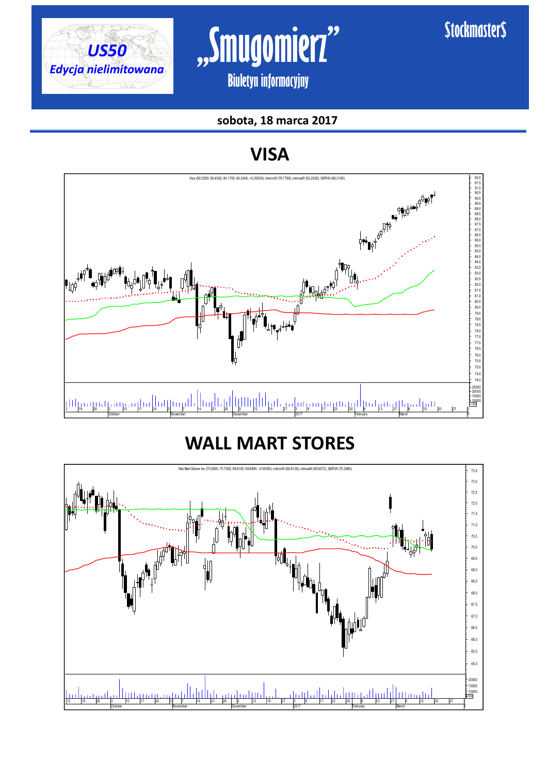



### **sobota, 18 marca 2017**

### **VISA**



### **WALL MART STORES**